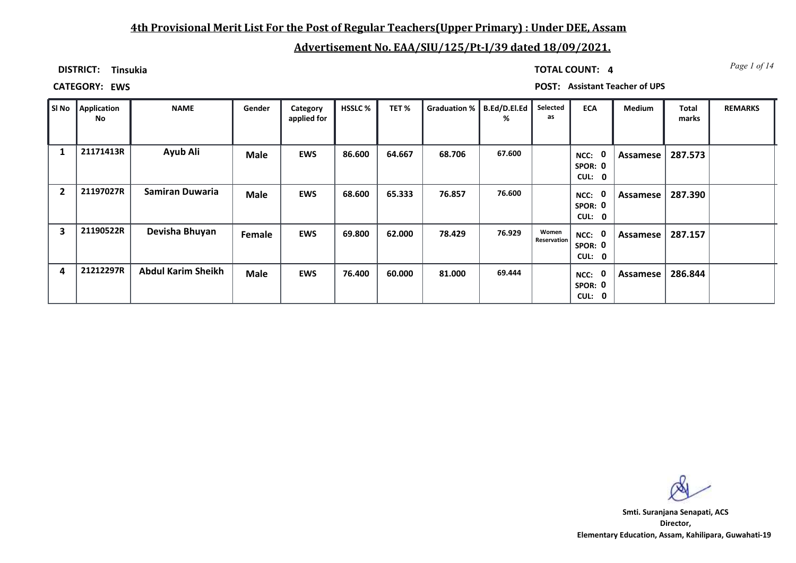## **4th Provisional Merit List For the Post of Regular Teachers(Upper Primary) : Under DEE, Assam**

# **Advertisement No. EAA/SIU/125/Pt-I/39 dated 18/09/2021.**

**DISTRICT: Tinsukia**

*Page 1 of 14* **TOTAL COUNT: 4**

**CATEGORY: EWS POST: Assistant Teacher of UPS**

| SI No                   | <b>Application</b><br>No | <b>NAME</b>               | Gender      | Category<br>applied for | <b>HSSLC %</b> | TET%   | Graduation %   B.Ed/D.El.Ed | %      | Selected<br>as              | <b>ECA</b>                               | Medium   | <b>Total</b><br>marks | <b>REMARKS</b> |
|-------------------------|--------------------------|---------------------------|-------------|-------------------------|----------------|--------|-----------------------------|--------|-----------------------------|------------------------------------------|----------|-----------------------|----------------|
| 1                       | 21171413R                | Ayub Ali                  | <b>Male</b> | <b>EWS</b>              | 86.600         | 64.667 | 68.706                      | 67.600 |                             | $\mathbf 0$<br>NCC:<br>SPOR: 0<br>CUL: 0 | Assamese | 287.573               |                |
| $\overline{\mathbf{2}}$ | 21197027R                | Samiran Duwaria           | <b>Male</b> | <b>EWS</b>              | 68.600         | 65.333 | 76.857                      | 76.600 |                             | 0<br>NCC:<br>SPOR: 0<br>CUL: 0           | Assamese | 287.390               |                |
| 3                       | 21190522R                | Devisha Bhuyan            | Female      | <b>EWS</b>              | 69.800         | 62.000 | 78.429                      | 76.929 | Women<br><b>Reservation</b> | 0<br>NCC:<br>SPOR: 0<br>CUL: 0           | Assamese | 287.157               |                |
| 4                       | 21212297R                | <b>Abdul Karim Sheikh</b> | <b>Male</b> | <b>EWS</b>              | 76.400         | 60.000 | 81.000                      | 69.444 |                             | $\mathbf 0$<br>NCC:<br>SPOR: 0<br>CUL: 0 | Assamese | 286.844               |                |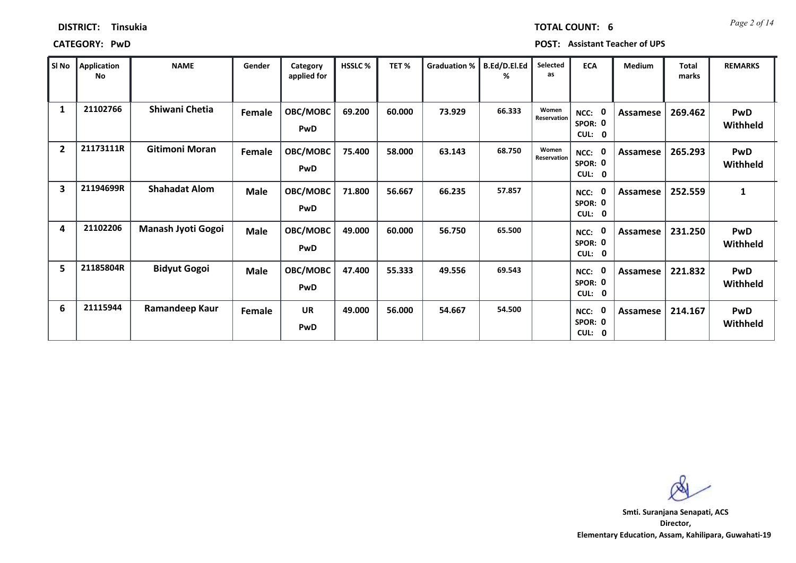| <b>DISTRICT:</b> | <b>Tinsukia</b> |
|------------------|-----------------|
|------------------|-----------------|

**CATEGORY: PwD POST: Assistant Teacher of UPS**

| SI No          | <b>Application</b><br>No | <b>NAME</b>           | Gender      | Category<br>applied for | <b>HSSLC%</b> | TET%   | <b>Graduation %</b> | <b>B.Ed/D.El.Ed</b><br>℅ | Selected<br>as       | <b>ECA</b>                                          | Medium   | <b>Total</b><br>marks | <b>REMARKS</b>         |
|----------------|--------------------------|-----------------------|-------------|-------------------------|---------------|--------|---------------------|--------------------------|----------------------|-----------------------------------------------------|----------|-----------------------|------------------------|
| 1              | 21102766                 | Shiwani Chetia        | Female      | OBC/MOBC<br><b>PwD</b>  | 69.200        | 60.000 | 73.929              | 66.333                   | Women<br>Reservation | 0<br>NCC:<br>SPOR: 0<br>CUL: 0                      | Assamese | 269.462               | <b>PwD</b><br>Withheld |
| $\overline{2}$ | 21173111R                | <b>Gitimoni Moran</b> | Female      | OBC/MOBC<br>PwD         | 75.400        | 58.000 | 63.143              | 68.750                   | Women<br>Reservation | 0<br>NCC:<br>SPOR: 0<br>CUL: 0                      | Assamese | 265.293               | <b>PwD</b><br>Withheld |
| 3              | 21194699R                | <b>Shahadat Alom</b>  | Male        | OBC/MOBC<br><b>PwD</b>  | 71.800        | 56.667 | 66.235              | 57.857                   |                      | $\mathbf{0}$<br>NCC:<br>SPOR: 0<br>CUL: 0           | Assamese | 252.559               | $\mathbf{1}$           |
| 4              | 21102206                 | Manash Jyoti Gogoi    | Male        | OBC/MOBC<br>PwD         | 49.000        | 60.000 | 56.750              | 65.500                   |                      | 0<br>NCC:<br>SPOR: 0<br><b>CUL:</b><br>$\mathbf{0}$ | Assamese | 231.250               | <b>PwD</b><br>Withheld |
| 5              | 21185804R                | <b>Bidyut Gogoi</b>   | <b>Male</b> | OBC/MOBC<br>PwD         | 47.400        | 55.333 | 49.556              | 69.543                   |                      | $\mathbf{0}$<br>NCC:<br>SPOR: 0<br>CUL: 0           | Assamese | 221.832               | <b>PwD</b><br>Withheld |
| 6              | 21115944                 | Ramandeep Kaur        | Female      | <b>UR</b><br>PwD        | 49.000        | 56.000 | 54.667              | 54.500                   |                      | 0<br>NCC:<br>SPOR: 0<br>CUL: 0                      | Assamese | 214.167               | PwD<br>Withheld        |

**Director, Elementary Education, Assam, Kahilipara, Guwahati-19 Smti. Suranjana Senapati, ACS**

*Page 2 of 14* **TOTAL COUNT: 6**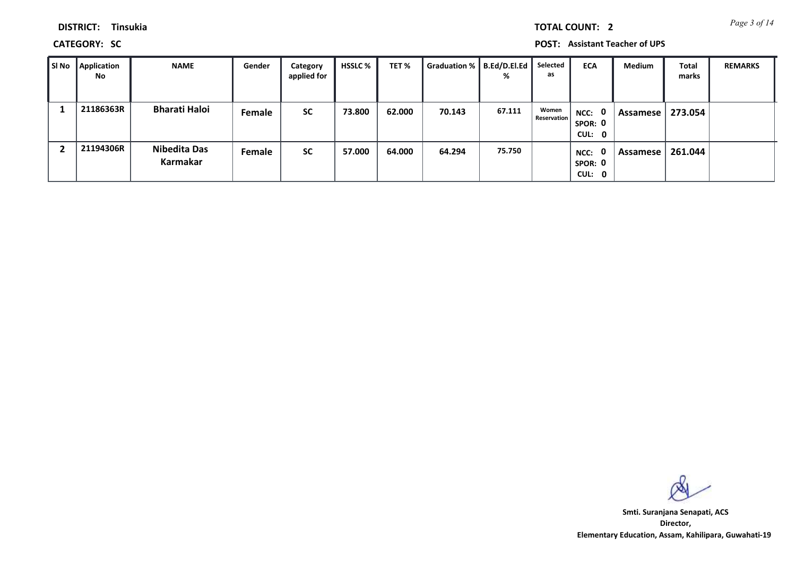*Page 3 of 14* **TOTAL COUNT: 2**

**DISTRICT: Tinsukia**

**CATEGORY: SC POST: Assistant Teacher of UPS**

| SI No | <b>Application</b><br><b>No</b> | <b>NAME</b>                     | Gender | Category<br>applied for | <b>HSSLC</b> % | TET %  | <b>Graduation %</b> | B.Ed/D.El.Ed<br>% | Selected<br>as       | <b>ECA</b>                     | Medium     | <b>Total</b><br>marks | <b>REMARKS</b> |
|-------|---------------------------------|---------------------------------|--------|-------------------------|----------------|--------|---------------------|-------------------|----------------------|--------------------------------|------------|-----------------------|----------------|
|       | 21186363R                       | <b>Bharati Haloi</b>            | Female | <b>SC</b>               | 73.800         | 62.000 | 70.143              | 67.111            | Women<br>Reservation | NCC: 0<br>SPOR: 0<br>CUL: 0    | Assamese   | 273.054               |                |
|       | 21194306R                       | <b>Nibedita Das</b><br>Karmakar | Female | <b>SC</b>               | 57.000         | 64.000 | 64.294              | 75.750            |                      | 0<br>NCC:<br>SPOR: 0<br>CUL: 0 | . Assamese | 261.044               |                |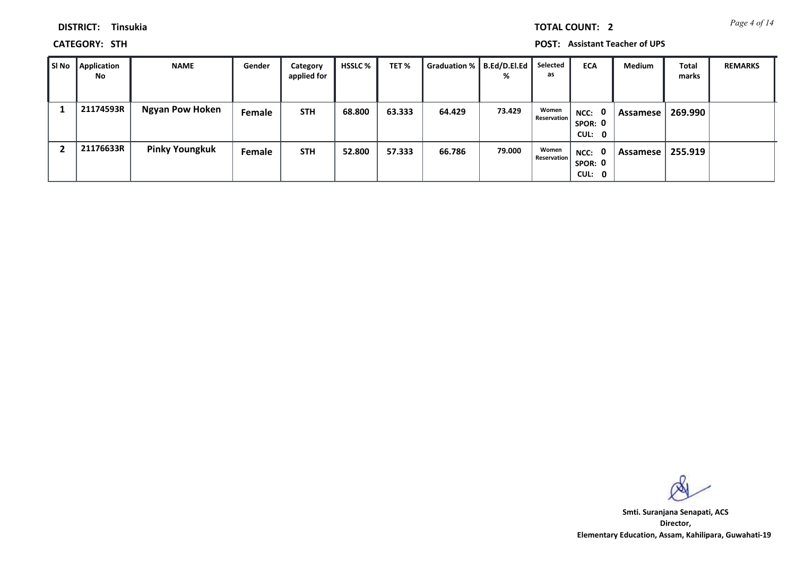*Page 4 of 14* **TOTAL COUNT: 2**

**DISTRICT: Tinsukia**

**CATEGORY: STH POST: Assistant Teacher of UPS**

| l SI No | Application<br><b>No</b> | <b>NAME</b>            | Gender | Category<br>applied for | <b>HSSLC</b> % | TET %  | Graduation %   B.Ed/D.El.Ed | %      | Selected<br>as       | <b>ECA</b>                  | Medium     | Total<br>marks | <b>REMARKS</b> |
|---------|--------------------------|------------------------|--------|-------------------------|----------------|--------|-----------------------------|--------|----------------------|-----------------------------|------------|----------------|----------------|
|         | 21174593R                | <b>Ngyan Pow Hoken</b> | Female | <b>STH</b>              | 68.800         | 63.333 | 64.429                      | 73.429 | Women<br>Reservation | NCC: 0<br>SPOR: 0<br>CUL: 0 | Assamese   | 269.990        |                |
|         | 21176633R                | <b>Pinky Youngkuk</b>  | Female | <b>STH</b>              | 52.800         | 57.333 | 66.786                      | 79.000 | Women<br>Reservation | NCC: 0<br>SPOR: 0<br>CUL: 0 | Assamese I | 255.919        |                |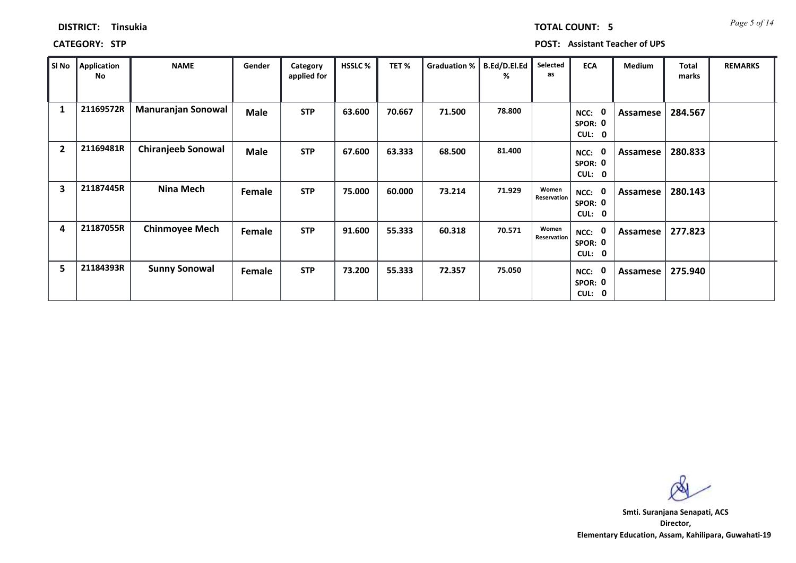| <b>TOTAL COUNT:</b> |  |  |
|---------------------|--|--|
|                     |  |  |
|                     |  |  |
|                     |  |  |

### **DISTRICT: Tinsukia**

**CATEGORY: STP POST: Assistant Teacher of UPS**

| SI No                   | Application<br>No | <b>NAME</b>               | Gender      | Category<br>applied for | <b>HSSLC%</b> | TET%   | Graduation % | B.Ed/D.El.Ed<br>% | Selected<br>as       | <b>ECA</b>                                             | Medium   | <b>Total</b><br>marks | <b>REMARKS</b> |
|-------------------------|-------------------|---------------------------|-------------|-------------------------|---------------|--------|--------------|-------------------|----------------------|--------------------------------------------------------|----------|-----------------------|----------------|
| 1                       | 21169572R         | <b>Manuranjan Sonowal</b> | <b>Male</b> | <b>STP</b>              | 63.600        | 70.667 | 71.500       | 78.800            |                      | $\mathbf 0$<br>NCC:<br>SPOR: 0<br>CUL: 0               | Assamese | 284.567               |                |
| $\overline{2}$          | 21169481R         | <b>Chiranjeeb Sonowal</b> | <b>Male</b> | <b>STP</b>              | 67.600        | 63.333 | 68.500       | 81.400            |                      | $\mathbf 0$<br>NCC:<br>SPOR: 0<br>CUL:<br>$\mathbf{0}$ | Assamese | 280.833               |                |
| $\overline{\mathbf{3}}$ | 21187445R         | Nina Mech                 | Female      | <b>STP</b>              | 75.000        | 60.000 | 73.214       | 71.929            | Women<br>Reservation | $\mathbf 0$<br>NCC:<br>SPOR: 0<br>CUL:<br>$\mathbf{0}$ | Assamese | 280.143               |                |
| 4                       | 21187055R         | <b>Chinmoyee Mech</b>     | Female      | <b>STP</b>              | 91.600        | 55.333 | 60.318       | 70.571            | Women<br>Reservation | $\mathbf 0$<br>NCC:<br>SPOR: 0<br>CUL:<br>$\mathbf{0}$ | Assamese | 277.823               |                |
| 5                       | 21184393R         | <b>Sunny Sonowal</b>      | Female      | <b>STP</b>              | 73.200        | 55.333 | 72.357       | 75.050            |                      | $\mathbf 0$<br>NCC:<br>SPOR: 0<br><b>CUL:</b><br>0     | Assamese | 275.940               |                |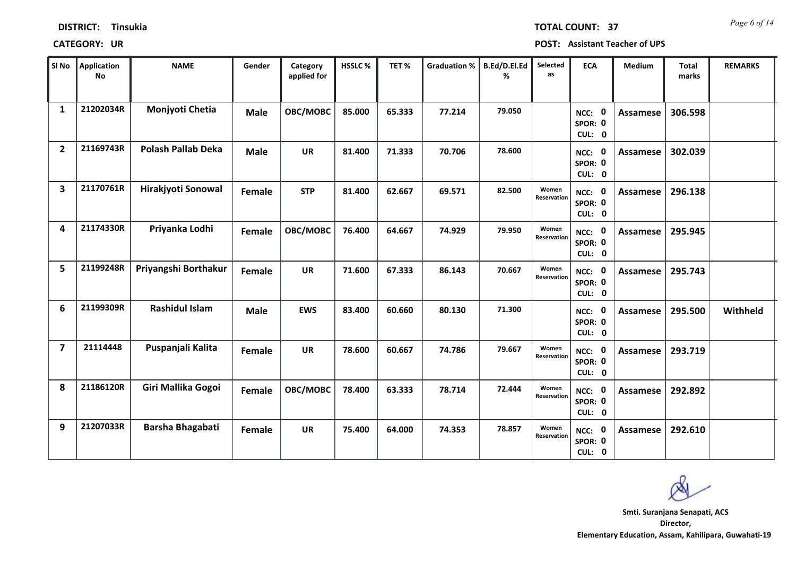| SI No                   | <b>Application</b><br><b>No</b> | <b>NAME</b>               | Gender      | Category<br>applied for | HSSLC% | TET%   | <b>Graduation %</b> | B.Ed/D.El.Ed<br>% | Selected<br>as       | <b>ECA</b>                               | Medium          | <b>Total</b><br>marks | <b>REMARKS</b> |
|-------------------------|---------------------------------|---------------------------|-------------|-------------------------|--------|--------|---------------------|-------------------|----------------------|------------------------------------------|-----------------|-----------------------|----------------|
| $\mathbf{1}$            | 21202034R                       | Monjyoti Chetia           | <b>Male</b> | OBC/MOBC                | 85.000 | 65.333 | 77.214              | 79.050            |                      | NCC: 0<br>SPOR: 0<br>CUL: 0              | Assamese        | 306.598               |                |
| $\overline{2}$          | 21169743R                       | <b>Polash Pallab Deka</b> | <b>Male</b> | <b>UR</b>               | 81.400 | 71.333 | 70.706              | 78.600            |                      | NCC: 0<br>SPOR: 0<br>CUL: 0              | Assamese        | 302.039               |                |
| $\overline{\mathbf{3}}$ | 21170761R                       | Hirakjyoti Sonowal        | Female      | <b>STP</b>              | 81.400 | 62.667 | 69.571              | 82.500            | Women<br>Reservation | NCC: 0<br>SPOR: 0<br>CUL: 0              | <b>Assamese</b> | 296.138               |                |
| 4                       | 21174330R                       | Priyanka Lodhi            | Female      | OBC/MOBC                | 76.400 | 64.667 | 74.929              | 79.950            | Women<br>Reservation | NCC: 0<br>SPOR: 0<br>CUL: 0              | <b>Assamese</b> | 295.945               |                |
| 5                       | 21199248R                       | Priyangshi Borthakur      | Female      | <b>UR</b>               | 71.600 | 67.333 | 86.143              | 70.667            | Women<br>Reservation | NCC: 0<br>SPOR: 0<br>CUL: 0              | <b>Assamese</b> | 295.743               |                |
| 6                       | 21199309R                       | <b>Rashidul Islam</b>     | <b>Male</b> | <b>EWS</b>              | 83.400 | 60.660 | 80.130              | 71.300            |                      | NCC: 0<br>SPOR: 0<br>CUL: 0              | Assamese        | 295.500               | Withheld       |
| $\overline{7}$          | 21114448                        | Puspanjali Kalita         | Female      | <b>UR</b>               | 78.600 | 60.667 | 74.786              | 79.667            | Women<br>Reservation | $\mathbf 0$<br>NCC:<br>SPOR: 0<br>CUL: 0 | Assamese        | 293.719               |                |
| 8                       | 21186120R                       | Giri Mallika Gogoi        | Female      | OBC/MOBC                | 78.400 | 63.333 | 78.714              | 72.444            | Women<br>Reservation | <b>NCC: 0</b><br>SPOR: 0<br>CUL: 0       | Assamese        | 292.892               |                |
| 9                       | 21207033R                       | Barsha Bhagabati          | Female      | <b>UR</b>               | 75.400 | 64.000 | 74.353              | 78.857            | Women<br>Reservation | <b>NCC: 0</b><br>SPOR: 0<br>CUL: 0       | Assamese        | 292.610               |                |

### **CATEGORY: UR POST: Assistant Teacher of UPS**

**DISTRICT: Tinsukia**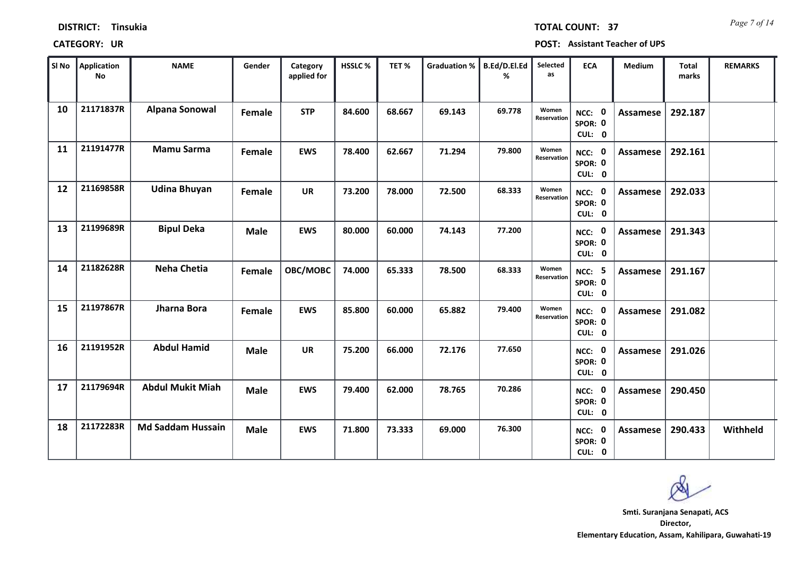*Page 7 of 14* **TOTAL COUNT: 37**

| <b>CATEGORY:</b><br>UR | POST: Assistant Teacher of UPS |
|------------------------|--------------------------------|
|------------------------|--------------------------------|

| SI No | Application<br>No | <b>NAME</b>              | Gender      | Category<br>applied for | HSSLC% | TET%   | <b>Graduation %</b> | B.Ed/D.El.Ed<br>% | Selected<br>as       | <b>ECA</b>                         | <b>Medium</b>   | Total<br>marks | <b>REMARKS</b> |
|-------|-------------------|--------------------------|-------------|-------------------------|--------|--------|---------------------|-------------------|----------------------|------------------------------------|-----------------|----------------|----------------|
| 10    | 21171837R         | <b>Alpana Sonowal</b>    | Female      | <b>STP</b>              | 84.600 | 68.667 | 69.143              | 69.778            | Women<br>Reservation | NCC: 0<br>SPOR: 0<br>CUL: 0        | Assamese        | 292.187        |                |
| 11    | 21191477R         | <b>Mamu Sarma</b>        | Female      | <b>EWS</b>              | 78.400 | 62.667 | 71.294              | 79.800            | Women<br>Reservation | NCC: 0<br>SPOR: 0<br>CUL: 0        | <b>Assamese</b> | 292.161        |                |
| 12    | 21169858R         | <b>Udina Bhuyan</b>      | Female      | <b>UR</b>               | 73.200 | 78.000 | 72.500              | 68.333            | Women<br>Reservation | NCC: 0<br>SPOR: 0<br>CUL: 0        | Assamese        | 292.033        |                |
| 13    | 21199689R         | <b>Bipul Deka</b>        | <b>Male</b> | <b>EWS</b>              | 80.000 | 60.000 | 74.143              | 77.200            |                      | NCC: 0<br>SPOR: 0<br>CUL: 0        | <b>Assamese</b> | 291.343        |                |
| 14    | 21182628R         | <b>Neha Chetia</b>       | Female      | OBC/MOBC                | 74.000 | 65.333 | 78.500              | 68.333            | Women<br>Reservation | <b>NCC: 5</b><br>SPOR: 0<br>CUL: 0 | Assamese        | 291.167        |                |
| 15    | 21197867R         | Jharna Bora              | Female      | <b>EWS</b>              | 85.800 | 60.000 | 65.882              | 79.400            | Women<br>Reservation | NCC: 0<br>SPOR: 0<br>CUL: 0        | Assamese        | 291.082        |                |
| 16    | 21191952R         | <b>Abdul Hamid</b>       | <b>Male</b> | <b>UR</b>               | 75.200 | 66.000 | 72.176              | 77.650            |                      | NCC: 0<br>SPOR: 0<br>CUL: 0        | Assamese        | 291.026        |                |
| 17    | 21179694R         | <b>Abdul Mukit Miah</b>  | <b>Male</b> | <b>EWS</b>              | 79.400 | 62.000 | 78.765              | 70.286            |                      | NCC: 0<br>SPOR: 0<br>CUL: 0        | <b>Assamese</b> | 290.450        |                |
| 18    | 21172283R         | <b>Md Saddam Hussain</b> | <b>Male</b> | <b>EWS</b>              | 71.800 | 73.333 | 69.000              | 76.300            |                      | NCC: 0<br>SPOR: 0<br>CUL: 0        | Assamese        | 290.433        | Withheld       |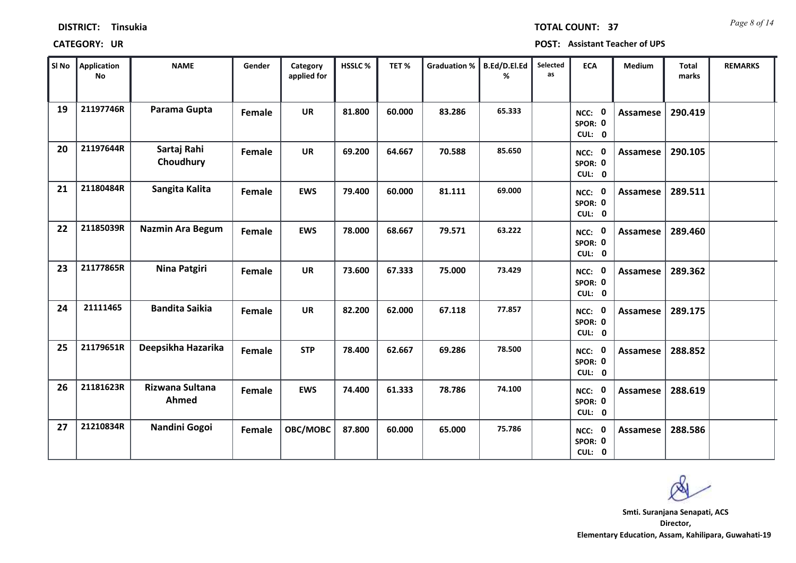| <b>DISTRICT:</b> | <b>Tinsukia</b> |
|------------------|-----------------|
|------------------|-----------------|

*Page 8 of 14* **TOTAL COUNT: 37**

**CATEGORY: UR POST: Assistant Teacher of UPS**

| SI No | <b>Application</b><br><b>No</b> | <b>NAME</b>              | Gender | Category<br>applied for | HSSLC% | TET%   | <b>Graduation %</b> | B.Ed/D.El.Ed<br>% | Selected<br>as | <b>ECA</b>                     | <b>Medium</b>   | <b>Total</b><br>marks | <b>REMARKS</b> |
|-------|---------------------------------|--------------------------|--------|-------------------------|--------|--------|---------------------|-------------------|----------------|--------------------------------|-----------------|-----------------------|----------------|
| 19    | 21197746R                       | Parama Gupta             | Female | <b>UR</b>               | 81.800 | 60.000 | 83.286              | 65.333            |                | 0<br>NCC:<br>SPOR: 0<br>CUL: 0 | <b>Assamese</b> | 290.419               |                |
| 20    | 21197644R                       | Sartaj Rahi<br>Choudhury | Female | <b>UR</b>               | 69.200 | 64.667 | 70.588              | 85.650            |                | NCC: 0<br>SPOR: 0<br>CUL: 0    | <b>Assamese</b> | 290.105               |                |
| 21    | 21180484R                       | Sangita Kalita           | Female | <b>EWS</b>              | 79.400 | 60.000 | 81.111              | 69.000            |                | NCC: 0<br>SPOR: 0<br>CUL: 0    | Assamese        | 289.511               |                |
| 22    | 21185039R                       | <b>Nazmin Ara Begum</b>  | Female | <b>EWS</b>              | 78.000 | 68.667 | 79.571              | 63.222            |                | NCC: 0<br>SPOR: 0<br>CUL: 0    | Assamese        | 289.460               |                |
| 23    | 21177865R                       | Nina Patgiri             | Female | <b>UR</b>               | 73.600 | 67.333 | 75.000              | 73.429            |                | NCC: 0<br>SPOR: 0<br>CUL: 0    | <b>Assamese</b> | 289.362               |                |
| 24    | 21111465                        | <b>Bandita Saikia</b>    | Female | <b>UR</b>               | 82.200 | 62.000 | 67.118              | 77.857            |                | NCC: 0<br>SPOR: 0<br>CUL: 0    | <b>Assamese</b> | 289.175               |                |
| 25    | 21179651R                       | Deepsikha Hazarika       | Female | <b>STP</b>              | 78.400 | 62.667 | 69.286              | 78.500            |                | NCC: 0<br>SPOR: 0<br>CUL: 0    | <b>Assamese</b> | 288.852               |                |
| 26    | 21181623R                       | Rizwana Sultana<br>Ahmed | Female | <b>EWS</b>              | 74.400 | 61.333 | 78.786              | 74.100            |                | NCC: 0<br>SPOR: 0<br>CUL: 0    | <b>Assamese</b> | 288.619               |                |
| 27    | 21210834R                       | Nandini Gogoi            | Female | OBC/MOBC                | 87.800 | 60.000 | 65.000              | 75.786            |                | NCC: 0<br>SPOR: 0<br>CUL: 0    | <b>Assamese</b> | 288.586               |                |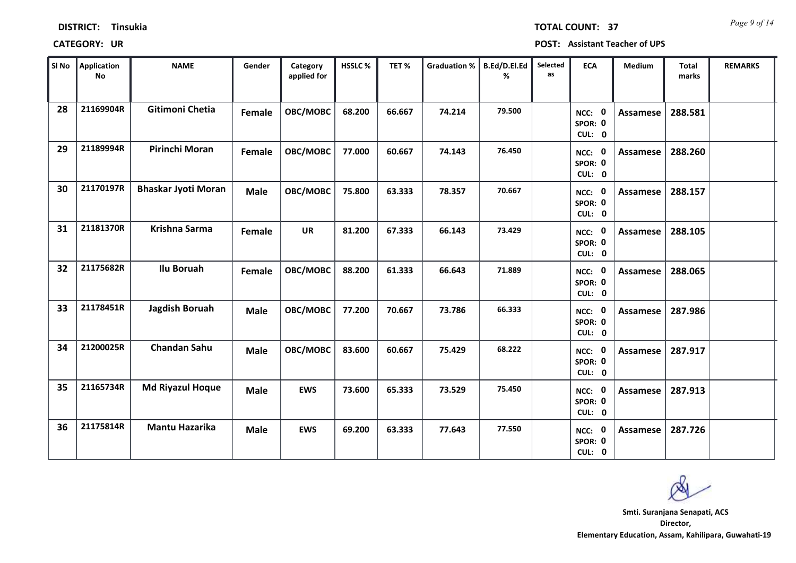**CATEGORY: UR POST: Assistant Teacher of UPS**

| SI No | Application<br>No | <b>NAME</b>                | Gender      | Category<br>applied for | <b>HSSLC%</b> | TET%   | <b>Graduation %</b> | B.Ed/D.El.Ed<br>% | Selected<br>as | <b>ECA</b>                               | Medium          | Total<br>marks | <b>REMARKS</b> |
|-------|-------------------|----------------------------|-------------|-------------------------|---------------|--------|---------------------|-------------------|----------------|------------------------------------------|-----------------|----------------|----------------|
| 28    | 21169904R         | Gitimoni Chetia            | Female      | OBC/MOBC                | 68.200        | 66.667 | 74.214              | 79.500            |                | $\mathbf 0$<br>NCC:<br>SPOR: 0<br>CUL: 0 | Assamese        | 288.581        |                |
| 29    | 21189994R         | Pirinchi Moran             | Female      | OBC/MOBC                | 77.000        | 60.667 | 74.143              | 76.450            |                | NCC: 0<br>SPOR: 0<br>CUL: 0              | Assamese        | 288.260        |                |
| 30    | 21170197R         | <b>Bhaskar Jyoti Moran</b> | <b>Male</b> | OBC/MOBC                | 75.800        | 63.333 | 78.357              | 70.667            |                | NCC: 0<br>SPOR: 0<br>CUL: 0              | Assamese        | 288.157        |                |
| 31    | 21181370R         | Krishna Sarma              | Female      | <b>UR</b>               | 81.200        | 67.333 | 66.143              | 73.429            |                | NCC: 0<br>SPOR: 0<br>CUL: 0              | Assamese        | 288.105        |                |
| 32    | 21175682R         | Ilu Boruah                 | Female      | OBC/MOBC                | 88.200        | 61.333 | 66.643              | 71.889            |                | $\mathbf 0$<br>NCC:<br>SPOR: 0<br>CUL: 0 | Assamese        | 288.065        |                |
| 33    | 21178451R         | Jagdish Boruah             | <b>Male</b> | OBC/MOBC                | 77.200        | 70.667 | 73.786              | 66.333            |                | NCC: 0<br>SPOR: 0<br>CUL: 0              | Assamese        | 287.986        |                |
| 34    | 21200025R         | <b>Chandan Sahu</b>        | <b>Male</b> | OBC/MOBC                | 83.600        | 60.667 | 75.429              | 68.222            |                | NCC: 0<br>SPOR: 0<br>CUL: 0              | <b>Assamese</b> | 287.917        |                |
| 35    | 21165734R         | <b>Md Riyazul Hoque</b>    | <b>Male</b> | <b>EWS</b>              | 73.600        | 65.333 | 73.529              | 75.450            |                | $\mathbf 0$<br>NCC:<br>SPOR: 0<br>CUL: 0 | Assamese        | 287.913        |                |
| 36    | 21175814R         | <b>Mantu Hazarika</b>      | <b>Male</b> | <b>EWS</b>              | 69.200        | 63.333 | 77.643              | 77.550            |                | <b>NCC: 0</b><br>SPOR: 0<br>CUL: 0       | Assamese        | 287.726        |                |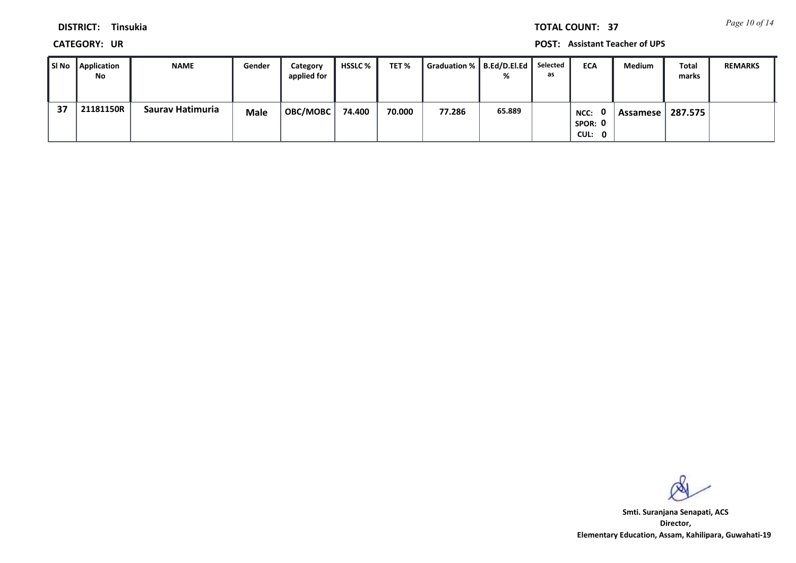*Page 10 of 14* **TOTAL COUNT: 37**

**DISTRICT: Tinsukia**

**CATEGORY: UR POST: Assistant Teacher of UPS**

| SI No | <b>Application</b><br>No | <b>NAME</b>      | Gender      | Category<br>applied for | <b>HSSLC</b> % | TET %  | Graduation %    B.Ed/D.El.Ed | %      | Selected<br>as | <b>ECA</b>                       | <b>Medium</b> | Total<br>marks | <b>REMARKS</b> |
|-------|--------------------------|------------------|-------------|-------------------------|----------------|--------|------------------------------|--------|----------------|----------------------------------|---------------|----------------|----------------|
| 37    | 21181150R                | Saurav Hatimuria | <b>Male</b> | <b>OBC/MOBC</b>         | 74.400         | 70.000 | 77.286                       | 65.889 |                | . വ<br>NCC:<br>SPOR: 0<br>CUL: 0 | Assamese l    | 287.575        |                |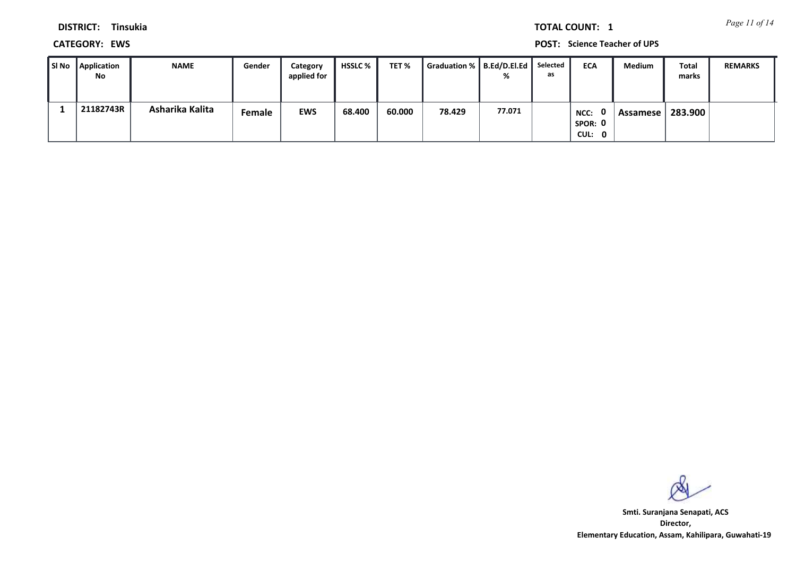*Page 11 of 14* **TOTAL COUNT: 1**

**DISTRICT: Tinsukia**

**CATEGORY: EWS POST: Science Teacher of UPS**

| SI No | <b>Application</b><br>No | <b>NAME</b>     | Gender | Category<br>applied for | <b>HSSLC</b> % | TET %  | Graduation % B.Ed/D.El.Ed | %      | Selected<br>as | <b>ECA</b>                       | <b>Medium</b> | Total<br>marks | <b>REMARKS</b> |
|-------|--------------------------|-----------------|--------|-------------------------|----------------|--------|---------------------------|--------|----------------|----------------------------------|---------------|----------------|----------------|
|       | 21182743R                | Asharika Kalita | Female | <b>EWS</b>              | 68.400         | 60.000 | 78.429                    | 77.071 |                | n n<br>NCC:<br>SPOR: 0<br>CUL: 0 | Assamese      | 283.900        |                |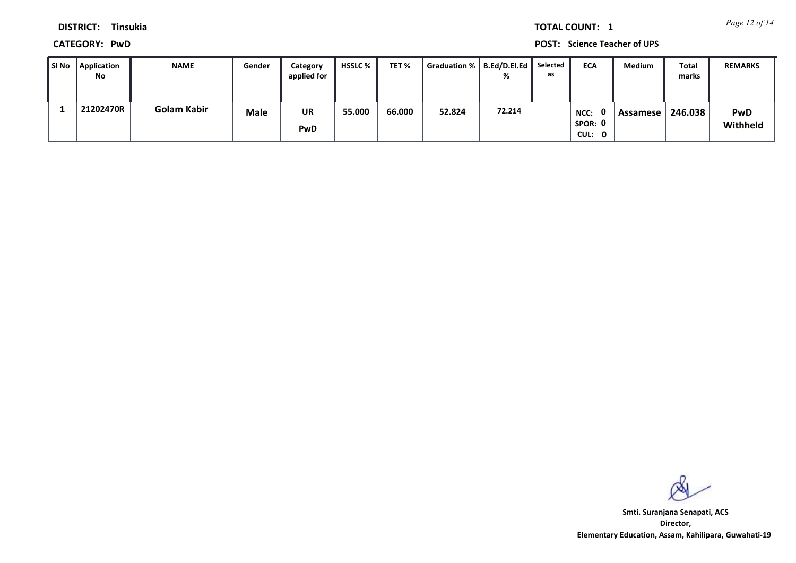*Page 12 of 14* **TOTAL COUNT: 1**

**DISTRICT: Tinsukia**

**CATEGORY: PwD POST: Science Teacher of UPS**

| l SI No | <b>Application</b><br>No | <b>NAME</b>        | Gender | Category<br>applied for | <b>HSSLC</b> % | TET %  | Graduation %    B.Ed/D.El.Ed | %      | Selected<br>as | <b>ECA</b>                       | <b>Medium</b> | <b>Total</b><br>marks | <b>REMARKS</b>         |
|---------|--------------------------|--------------------|--------|-------------------------|----------------|--------|------------------------------|--------|----------------|----------------------------------|---------------|-----------------------|------------------------|
|         | 21202470R                | <b>Golam Kabir</b> | Male   | <b>UR</b><br>PwD        | 55.000         | 66.000 | 52.824                       | 72.214 |                | . വ<br>NCC:<br>SPOR: 0<br>CUL: 0 | Assamese      | 246.038               | <b>PwD</b><br>Withheld |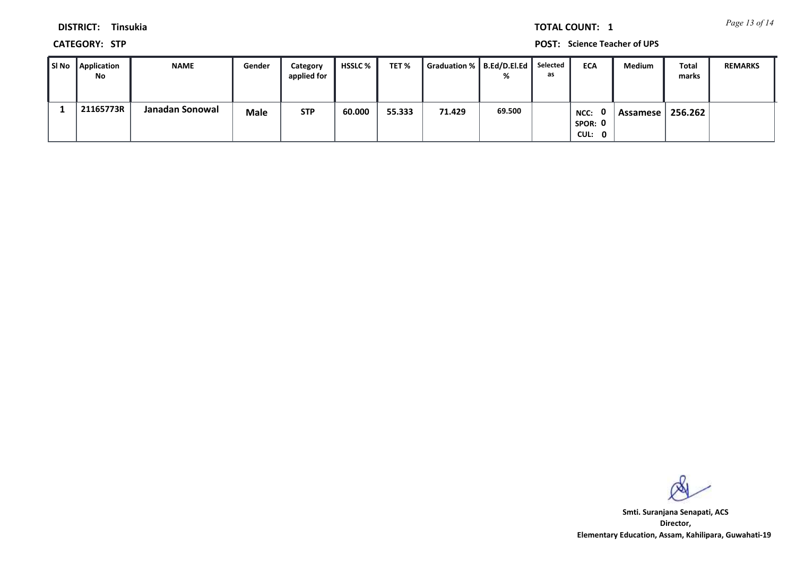*Page 13 of 14* **TOTAL COUNT: 1**

**DISTRICT: Tinsukia**

**CATEGORY: STP POST: Science Teacher of UPS**

| SI No Application<br>No | <b>NAME</b>     | Gender      | Category<br>applied for | HSSLC % | TET %  | Graduation %   B.Ed/D.El.Ed |        | Selected<br>as | <b>ECA</b>                | Medium   | Total<br>marks | <b>REMARKS</b> |
|-------------------------|-----------------|-------------|-------------------------|---------|--------|-----------------------------|--------|----------------|---------------------------|----------|----------------|----------------|
| 21165773R               | Janadan Sonowal | <b>Male</b> | <b>STP</b>              | 60.000  | 55.333 | 71.429                      | 69.500 |                | NCC:<br>SPOR: 0<br>CUL: 0 | Assamese | 256.262        |                |